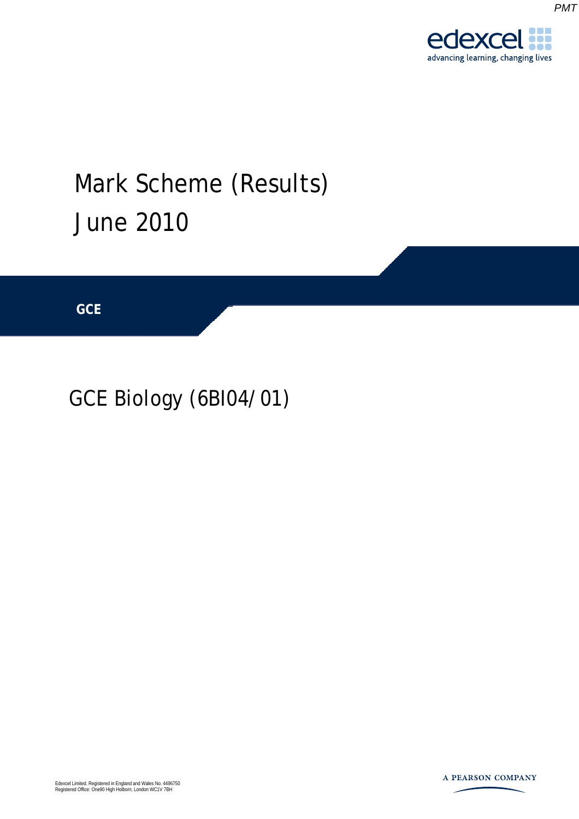*PMT*



# GCE Biology (6BI04/01)

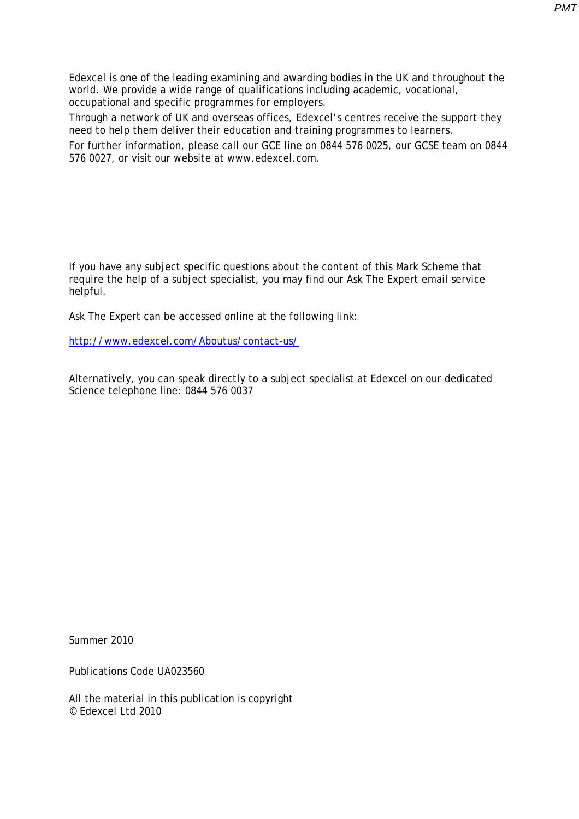Edexcel is one of the leading examining and awarding bodies in the UK and throughout the world. We provide a wide range of qualifications including academic, vocational, occupational and specific programmes for employers.

Through a network of UK and overseas offices, Edexcel's centres receive the support they need to help them deliver their education and training programmes to learners.

For further information, please call our GCE line on 0844 576 0025, our GCSE team on 0844 576 0027, or visit our website at www.edexcel.com.

If you have any subject specific questions about the content of this Mark Scheme that require the help of a subject specialist, you may find our Ask The Expert email service helpful.

Ask The Expert can be accessed online at the following link:

http://www.edexcel.com/Aboutus/contact-us/

Alternatively, you can speak directly to a subject specialist at Edexcel on our dedicated Science telephone line: 0844 576 0037

Summer 2010

Publications Code UA023560

All the material in this publication is copyright © Edexcel Ltd 2010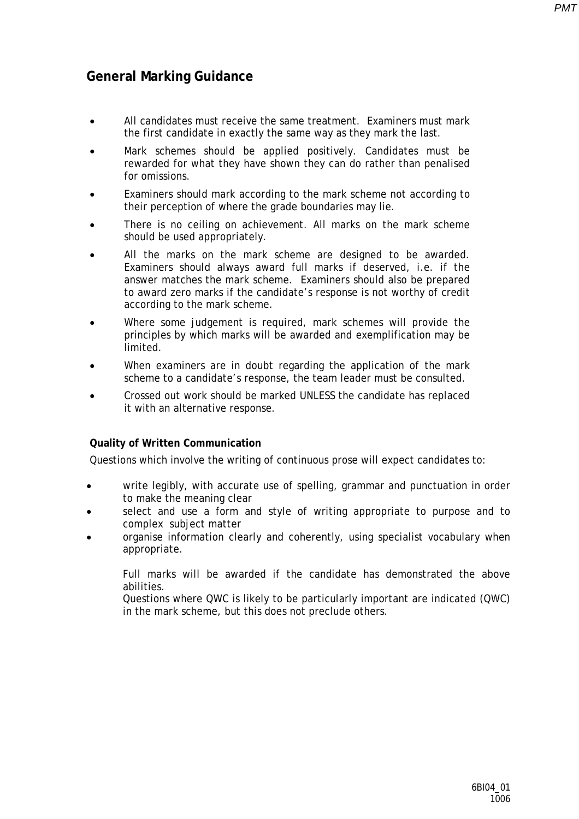*PMT*

## **General Marking Guidance**

- All candidates must receive the same treatment. Examiners must mark the first candidate in exactly the same way as they mark the last.
- Mark schemes should be applied positively. Candidates must be rewarded for what they have shown they can do rather than penalised for omissions.
- Examiners should mark according to the mark scheme not according to their perception of where the grade boundaries may lie.
- There is no ceiling on achievement. All marks on the mark scheme should be used appropriately.
- All the marks on the mark scheme are designed to be awarded. Examiners should always award full marks if deserved, i.e. if the answer matches the mark scheme. Examiners should also be prepared to award zero marks if the candidate's response is not worthy of credit according to the mark scheme.
- Where some judgement is required, mark schemes will provide the principles by which marks will be awarded and exemplification may be limited.
- When examiners are in doubt regarding the application of the mark scheme to a candidate's response, the team leader must be consulted.
- Crossed out work should be marked UNLESS the candidate has replaced it with an alternative response.

## **Quality of Written Communication**

Questions which involve the writing of continuous prose will expect candidates to:

- write legibly, with accurate use of spelling, grammar and punctuation in order to make the meaning clear
- select and use a form and style of writing appropriate to purpose and to complex subject matter
- organise information clearly and coherently, using specialist vocabulary when appropriate.

Full marks will be awarded if the candidate has demonstrated the above abilities.

Questions where QWC is likely to be particularly important are indicated (QWC) in the mark scheme, but this does not preclude others*.*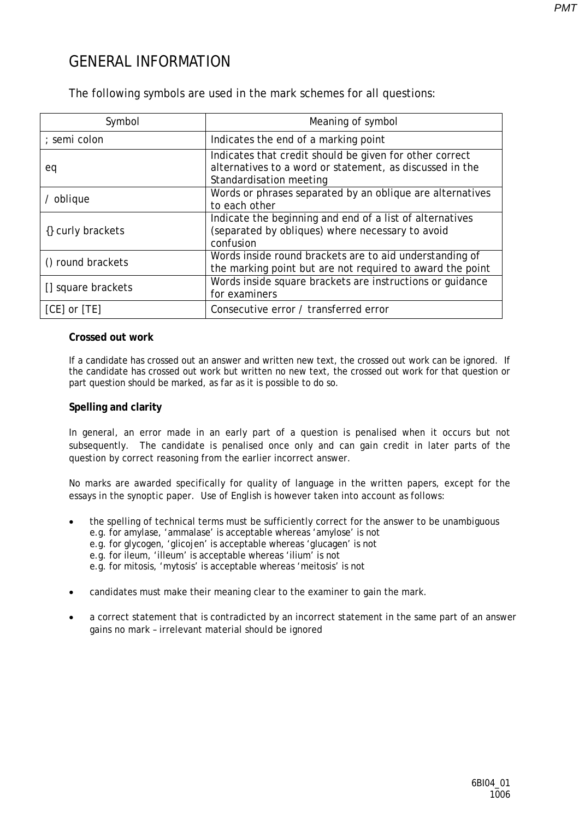## GENERAL INFORMATION

The following symbols are used in the mark schemes for all questions:

| Symbol             | Meaning of symbol                                                                                                                              |
|--------------------|------------------------------------------------------------------------------------------------------------------------------------------------|
| ; semi colon       | Indicates the end of a marking point                                                                                                           |
| eq                 | Indicates that credit should be given for other correct<br>alternatives to a word or statement, as discussed in the<br>Standardisation meeting |
| / oblique          | Words or phrases separated by an oblique are alternatives<br>to each other                                                                     |
| {} curly brackets  | Indicate the beginning and end of a list of alternatives<br>(separated by obliques) where necessary to avoid<br>confusion                      |
| () round brackets  | Words inside round brackets are to aid understanding of<br>the marking point but are not required to award the point                           |
| [] square brackets | Words inside square brackets are instructions or quidance<br>for examiners                                                                     |
| [CE] or [TE]       | Consecutive error / transferred error                                                                                                          |

#### **Crossed out work**

If a candidate has crossed out an answer and written new text, the crossed out work can be ignored. If the candidate has crossed out work but written no new text, the crossed out work for that question or part question should be marked, as far as it is possible to do so.

### **Spelling and clarity**

In general, an error made in an early part of a question is penalised when it occurs but not subsequently. The candidate is penalised once only and can gain credit in later parts of the question by correct reasoning from the earlier incorrect answer.

No marks are awarded specifically for quality of language in the written papers, except for the essays in the synoptic paper. Use of English is however taken into account as follows:

- the spelling of technical terms must be sufficiently correct for the answer to be unambiguous e.g. for amylase, 'ammalase' is acceptable whereas 'amylose' is not e.g. for glycogen, 'glicojen' is acceptable whereas 'glucagen' is not e.g. for ileum, 'illeum' is acceptable whereas 'ilium' is not e.g. for mitosis, 'mytosis' is acceptable whereas 'meitosis' is not
- candidates must make their meaning clear to the examiner to gain the mark.
- a correct statement that is contradicted by an incorrect statement in the same part of an answer gains no mark – irrelevant material should be ignored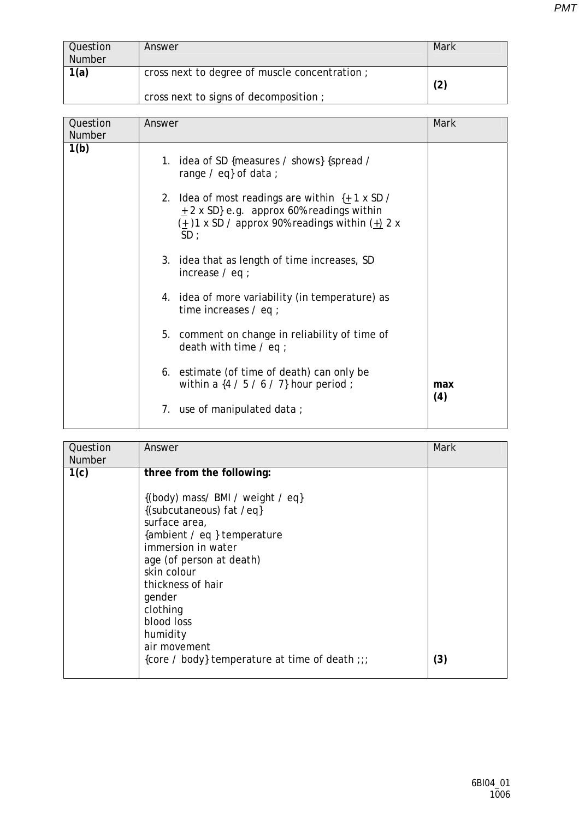| Question<br><b>Number</b> | Answer                                        | Mark |
|---------------------------|-----------------------------------------------|------|
| 1(a)                      | cross next to degree of muscle concentration; | (2)  |
|                           | cross next to signs of decomposition;         |      |

| Question      | Answer                                                                                                                                                                     | Mark       |
|---------------|----------------------------------------------------------------------------------------------------------------------------------------------------------------------------|------------|
| <b>Number</b> |                                                                                                                                                                            |            |
| 1(b)          | 1. idea of SD {measures / shows} {spread /<br>range $\ell$ eq} of data ;                                                                                                   |            |
|               | 2. Idea of most readings are within $\{+1 \times SD \}$<br>$\pm$ 2 x SD} e.g. approx 60% readings within<br>$(\pm)$ 1 x SD / approx 90% readings within $(\pm)$ 2 x<br>SD: |            |
|               | 3. idea that as length of time increases, SD<br>increase $/$ eq ;                                                                                                          |            |
|               | 4. idea of more variability (in temperature) as<br>time increases $/$ eq ;                                                                                                 |            |
|               | 5. comment on change in reliability of time of<br>death with time $\ell$ eq ;                                                                                              |            |
|               | 6. estimate (of time of death) can only be<br>within a $\{4/5/6/7\}$ hour period;                                                                                          | max<br>(4) |
|               | 7. use of manipulated data;                                                                                                                                                |            |

| Question | Answer                                         | Mark |
|----------|------------------------------------------------|------|
| Number   |                                                |      |
| 1(c)     | three from the following:                      |      |
|          | {(body) mass/ BMI / weight / eq}               |      |
|          | {(subcutaneous) fat /eq}                       |      |
|          | surface area,                                  |      |
|          | {ambient / eq } temperature                    |      |
|          | immersion in water                             |      |
|          | age (of person at death)                       |      |
|          | skin colour                                    |      |
|          | thickness of hair                              |      |
|          | gender                                         |      |
|          | clothing                                       |      |
|          | blood loss                                     |      |
|          | humidity                                       |      |
|          | air movement                                   |      |
|          | {core / body} temperature at time of death ;;; | (3)  |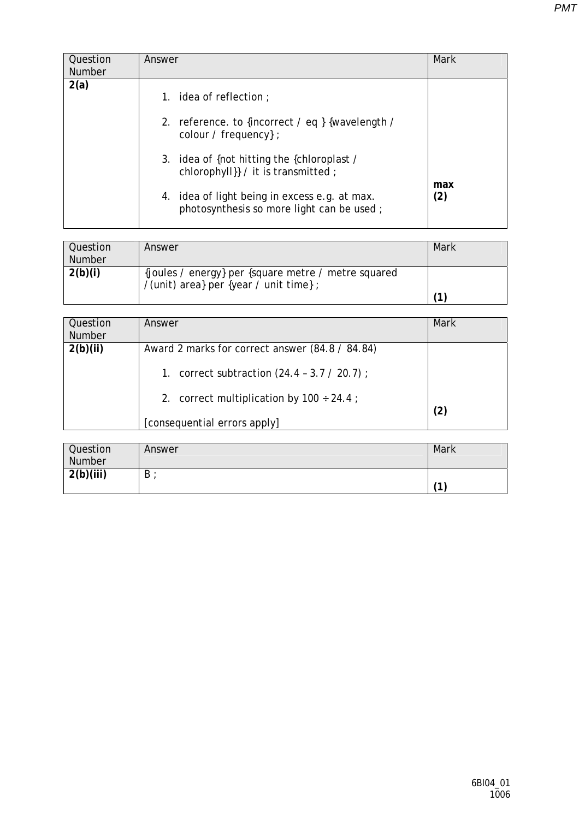| Question<br><b>Number</b> | Answer                                                                                     | Mark |
|---------------------------|--------------------------------------------------------------------------------------------|------|
| 2(a)                      | 1. idea of reflection $\colon$                                                             |      |
|                           | 2. reference. to {incorrect / eq } {wavelength /<br>colour / frequency $\}$ ;              |      |
|                           | 3. idea of {not hitting the {chloroplast /<br>chlorophyll} / it is transmitted ;           | max  |
|                           | 4. idea of light being in excess e.g. at max.<br>photosynthesis so more light can be used; | (2)  |

| Question | Answer                                                                                        | Mark |
|----------|-----------------------------------------------------------------------------------------------|------|
| Number   |                                                                                               |      |
| 2(b)(i)  | {joules / energy} per {square metre / metre squared<br>/(unit) area} per {year / unit time} ; |      |
|          |                                                                                               |      |

| Question<br><b>Number</b> | Answer                                                                                            | Mark              |
|---------------------------|---------------------------------------------------------------------------------------------------|-------------------|
| 2(b)(ii)                  | Award 2 marks for correct answer (84.8 / 84.84)<br>1. correct subtraction $(24.4 - 3.7 / 20.7)$ ; |                   |
|                           | 2. correct multiplication by $100 \div 24.4$ ;<br>[consequential errors apply]                    | $\left( 2\right)$ |

| Question<br><b>Number</b> | Answer | Mark           |
|---------------------------|--------|----------------|
| 2(b)(iii)                 | B      | $\overline{A}$ |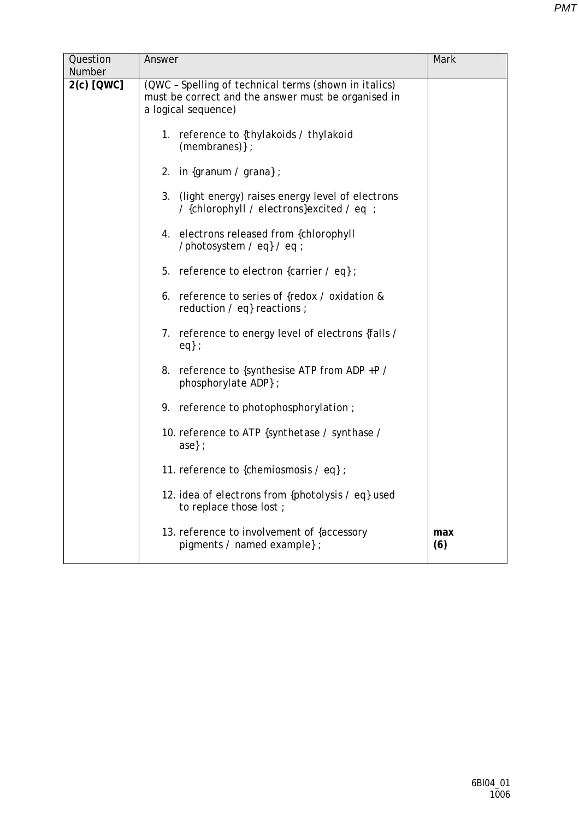| Question<br><b>Number</b> | Answer                                                                                                                              | Mark       |
|---------------------------|-------------------------------------------------------------------------------------------------------------------------------------|------------|
| 2(c) [QWC]                | (QWC - Spelling of technical terms (shown in italics)<br>must be correct and the answer must be organised in<br>a logical sequence) |            |
|                           | 1. reference to {thylakoids / thylakoid<br>(membranes) };                                                                           |            |
|                           | 2. in $\{gramum / \, granab \}$ ;                                                                                                   |            |
|                           | (light energy) raises energy level of electrons<br>3.<br>/ {chlorophyll / electrons}excited / eq ;                                  |            |
|                           | 4. electrons released from {chlorophyll<br>/photosystem / eq} / eq ;                                                                |            |
|                           | 5. reference to <i>electron</i> {carrier / eq} ;                                                                                    |            |
|                           | 6. reference to series of {redox / oxidation &<br>reduction / eq} reactions ;                                                       |            |
|                           | 7. reference to energy level of <i>electrons</i> {falls /<br>$eq$ ;                                                                 |            |
|                           | 8. reference to {synthesise ATP from ADP +P /<br>phosphorylate ADP};                                                                |            |
|                           | 9. reference to <i>photophosphorylation</i> ;                                                                                       |            |
|                           | 10. reference to ATP {synthetase / synthase /                                                                                       |            |
|                           | 11. reference to { <i>chemiosmosis / eq</i> };                                                                                      |            |
|                           | 12. idea of <i>electrons</i> from { <i>photolysis</i> / eq} used<br>to replace those lost;                                          |            |
|                           | 13. reference to involvement of {accessory<br>pigments / named example} ;                                                           | max<br>(6) |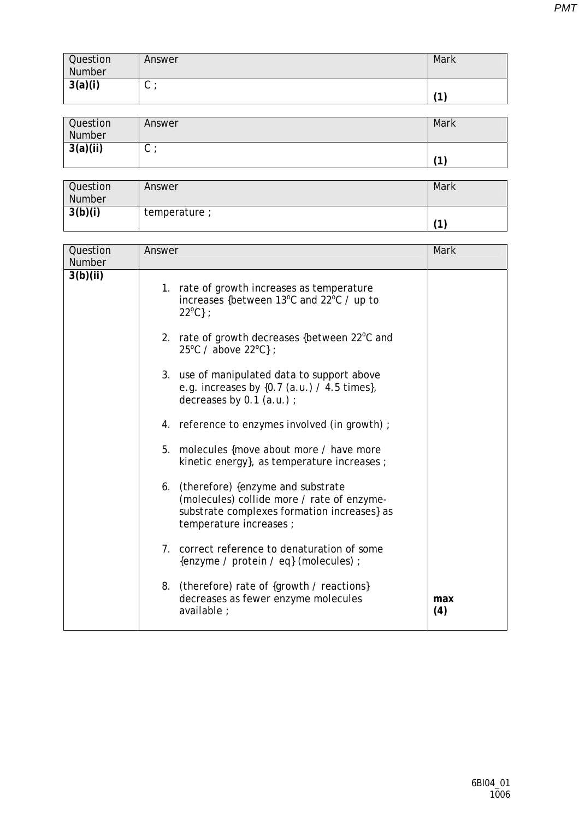| Question | Answer | Mark |
|----------|--------|------|
| Number   |        |      |
| 3(a)(i)  | ◡      |      |
|          |        |      |

| Question<br>Number | Answer | Mark           |
|--------------------|--------|----------------|
| 3(a)(ii)           | ັ      | $\overline{A}$ |

| Question<br><b>Number</b> | Answer        | Mark |
|---------------------------|---------------|------|
| 3(b)(i)                   | temperature ; | 74   |

| Question<br>Number | Answer                                                                                                                                                                                                                                                                                                                                                                                                                                                                                                                                                                                                                                                                                                                                                                                                                         | Mark       |
|--------------------|--------------------------------------------------------------------------------------------------------------------------------------------------------------------------------------------------------------------------------------------------------------------------------------------------------------------------------------------------------------------------------------------------------------------------------------------------------------------------------------------------------------------------------------------------------------------------------------------------------------------------------------------------------------------------------------------------------------------------------------------------------------------------------------------------------------------------------|------------|
| 3(b)(ii)           | 1. rate of growth increases as temperature<br>increases {between 13°C and 22°C / up to<br>$22^{\circ}C$ } ;<br>2. rate of growth decreases {between 22°C and<br>25°C / above 22°C};<br>3. use of manipulated data to support above<br>e.g. increases by $\{0.7$ $(a.u.)$ / 4.5 times},<br>decreases by 0.1 (a.u.) ;<br>4. reference to enzymes involved (in growth);<br>5. molecules {move about more / have more<br>kinetic energy}, as temperature increases ;<br>6. (therefore) {enzyme and substrate<br>(molecules) collide more / rate of enzyme-<br>substrate complexes formation increases} as<br>temperature increases ;<br>7. correct reference to denaturation of some<br>{enzyme / protein / eq} (molecules) ;<br>8. (therefore) rate of {growth / reactions}<br>decreases as fewer enzyme molecules<br>available : | max<br>(4) |
|                    |                                                                                                                                                                                                                                                                                                                                                                                                                                                                                                                                                                                                                                                                                                                                                                                                                                |            |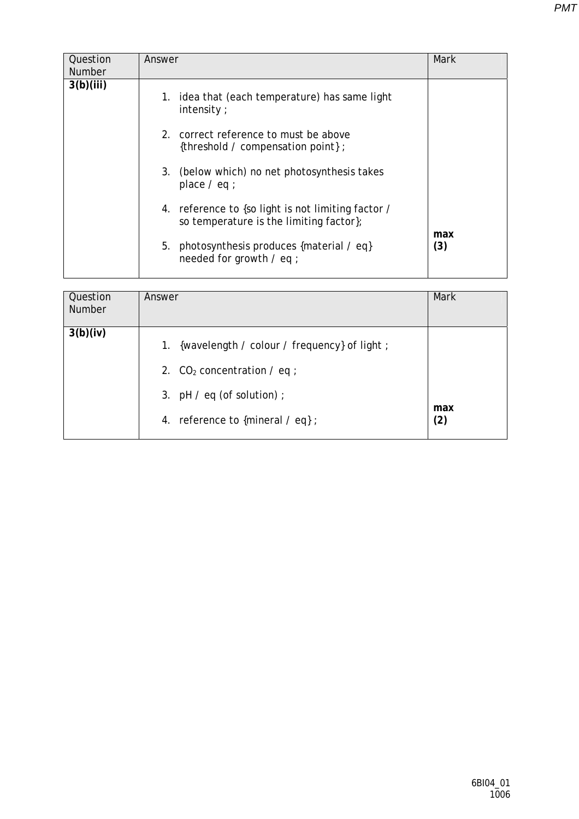| Answer                                                                                             | Mark       |
|----------------------------------------------------------------------------------------------------|------------|
| 1. idea that (each temperature) has same light<br>intensity $\cdot$                                |            |
| 2. correct reference to must be above<br>{threshold / compensation point};                         |            |
| 3. (below which) no net photosynthesis takes<br>place $/$ eq ;                                     |            |
| 4. reference to {so light is not limiting factor /<br>so temperature is the limiting factor $\chi$ |            |
| 5. photosynthesis produces {material / eq}<br>needed for growth / eq ;                             | max<br>(3) |
|                                                                                                    |            |

| Question<br>Number | Answer                                                                                                                                                       | <b>Mark</b> |
|--------------------|--------------------------------------------------------------------------------------------------------------------------------------------------------------|-------------|
| 3(b)(iv)           | {wavelength / colour / frequency} of light ;<br>1.<br>2. $CO2 concentration / eq$ ;<br>3. $pH / eq$ (of solution) ;<br>4. reference to {mineral $\ell$ eq} ; | max<br>(2)  |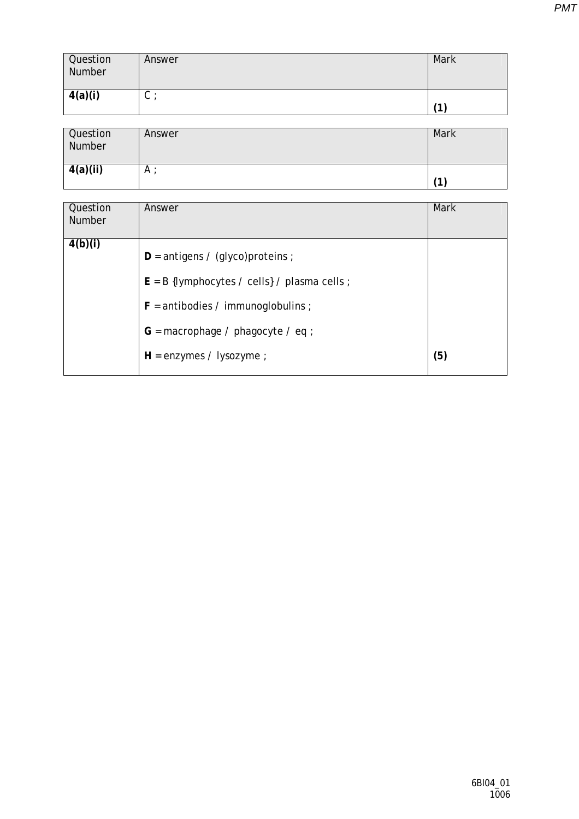| Question<br>Number | Answer | Mark |
|--------------------|--------|------|
| 4(a)(i)            | ⌒<br>◡ |      |

| Question<br>Number | Answer | <b>Mark</b> |
|--------------------|--------|-------------|
| 4(a)(ii)           | A      | 11          |

| Question<br><b>Number</b> | Answer                                                                                                                                                                                            | Mark |
|---------------------------|---------------------------------------------------------------------------------------------------------------------------------------------------------------------------------------------------|------|
| 4(b)(i)                   | $D =$ antigens / (glyco)proteins ;<br>$E = B$ {lymphocytes / cells} / plasma cells ;<br>$F =$ antibodies / immunoglobulins ;<br>$G =$ macrophage / phagocyte / eq ;<br>$H =$ enzymes / lysozyme ; | (5)  |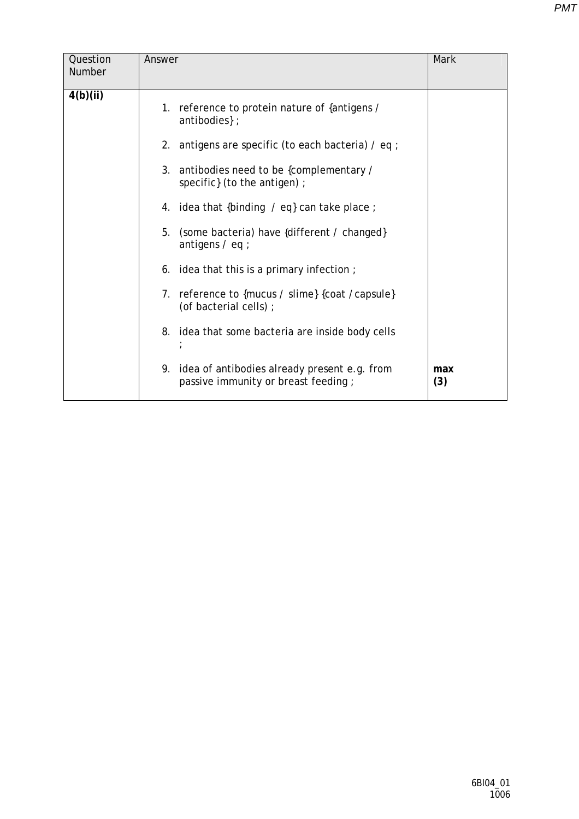| Question<br>Number | Answer                                                                                 | Mark       |
|--------------------|----------------------------------------------------------------------------------------|------------|
| 4(b)(ii)           | 1. reference to protein nature of {antigens /<br>antibodies };                         |            |
|                    | 2. antigens are specific (to each bacteria) $/$ eq ;                                   |            |
|                    | 3. antibodies need to be {complementary /<br>specific} (to the antigen) ;              |            |
|                    | 4. idea that {binding $\neq$ eq} can take place ;                                      |            |
|                    | 5 <sub>1</sub><br>(some bacteria) have {different / changed}<br>antigens $/$ eq ;      |            |
|                    | 6. idea that this is a primary infection;                                              |            |
|                    | 7. reference to {mucus / slime} {coat / capsule}<br>(of bacterial cells) ;             |            |
|                    | 8. idea that some bacteria are inside body cells                                       |            |
|                    | 9. idea of antibodies already present e.g. from<br>passive immunity or breast feeding; | max<br>(3) |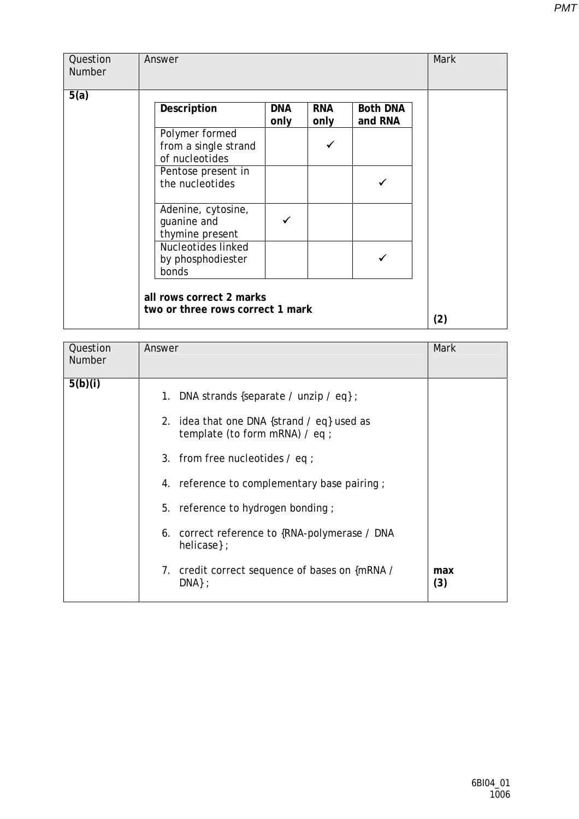| Question<br>Number | Answer                                                       |                    |                    |                            | Mark |
|--------------------|--------------------------------------------------------------|--------------------|--------------------|----------------------------|------|
| 5(a)               |                                                              |                    |                    |                            |      |
|                    | Description                                                  | <b>DNA</b><br>only | <b>RNA</b><br>only | <b>Both DNA</b><br>and RNA |      |
|                    | Polymer formed<br>from a single strand<br>of nucleotides     |                    |                    |                            |      |
|                    | Pentose present in<br>the nucleotides                        |                    |                    |                            |      |
|                    | Adenine, cytosine,<br>guanine and<br>thymine present         |                    |                    |                            |      |
|                    | Nucleotides linked<br>by phosphodiester<br>bonds             |                    |                    |                            |      |
|                    | all rows correct 2 marks<br>two or three rows correct 1 mark |                    |                    |                            | (2)  |

| Question<br><b>Number</b> | Answer                                                                                                                                                                                                                                                                                                                                                                                | Mark       |
|---------------------------|---------------------------------------------------------------------------------------------------------------------------------------------------------------------------------------------------------------------------------------------------------------------------------------------------------------------------------------------------------------------------------------|------------|
| 5(b)(i)                   | 1. DNA strands {separate / unzip / eq} ;<br>2. idea that one DNA {strand / eq} used as<br>template (to form mRNA) / eq ;<br>3. from free nucleotides $\ell$ eq ;<br>4. reference to complementary base pairing;<br>5. reference to hydrogen bonding;<br>6. correct reference to {RNA-polymerase / DNA<br>helicase $\}$ :<br>7. credit correct sequence of bases on {mRNA /<br>$DNA};$ | max<br>(3) |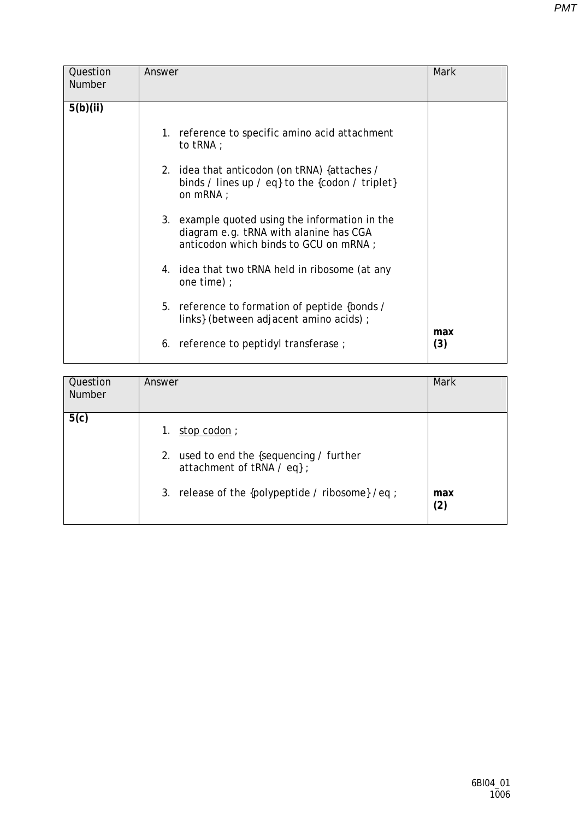| Question<br><b>Number</b> | Answer                                                                                                                            | <b>Mark</b> |
|---------------------------|-----------------------------------------------------------------------------------------------------------------------------------|-------------|
| 5(b)(ii)                  |                                                                                                                                   |             |
|                           | 1. reference to specific amino acid attachment<br>to $tRNA$ ;                                                                     |             |
|                           | 2. idea that anticodon (on tRNA) {attaches /<br>binds / lines up / eq} to the {codon / triplet}<br>on mRNA ;                      |             |
|                           | 3. example quoted using the information in the<br>diagram e.g. tRNA with alanine has CGA<br>anticodon which binds to GCU on mRNA; |             |
|                           | 4. idea that two tRNA held in ribosome (at any<br>one time) $\cdot$                                                               |             |
|                           | 5. reference to formation of peptide {bonds /<br>links} (between adjacent amino acids) ;                                          | max         |
|                           | 6. reference to peptidyl transferase;                                                                                             | (3)         |

| Question<br><b>Number</b> | Answer                                                                                                                                          | Mark       |
|---------------------------|-------------------------------------------------------------------------------------------------------------------------------------------------|------------|
| 5(c)                      | stop codon;<br>1.<br>2. used to end the {sequencing / further<br>attachment of tRNA / eq} ;<br>3. release of the {polypeptide / ribosome} /eq ; | max<br>(2) |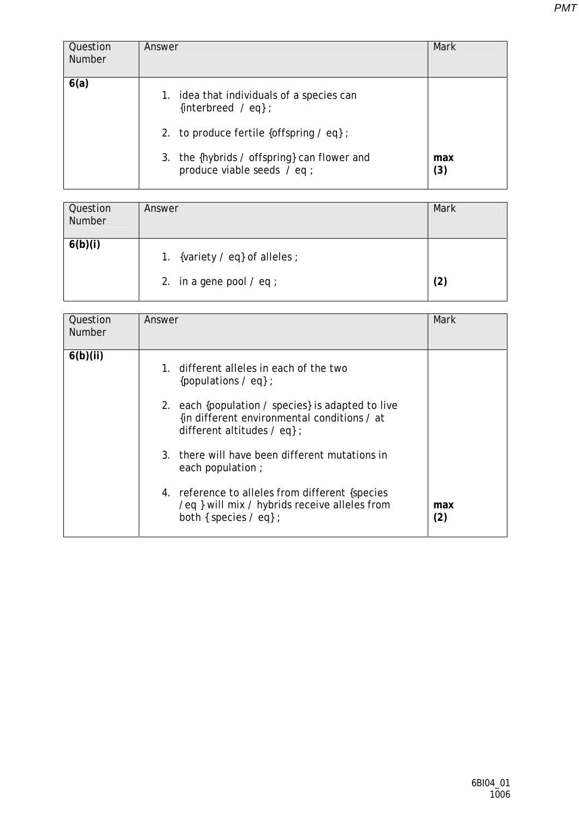| Question<br><b>Number</b> | Answer                                                                                                                                                                                                      | <b>Mark</b> |
|---------------------------|-------------------------------------------------------------------------------------------------------------------------------------------------------------------------------------------------------------|-------------|
| 6(a)                      | 1. idea that individuals of a species can<br>{interbreed $\angle$ eq};<br>2. to produce fertile {offspring $\ell$ eq};<br>3. the {hybrids / offspring} can flower and<br>produce viable seeds $\angle$ eq ; | max<br>(3)  |

| Question<br>Number | Answer                                                               | <b>Mark</b> |
|--------------------|----------------------------------------------------------------------|-------------|
| 6(b)(i)            | 1. {variety $\ell$ eq} of alleles ;<br>2. in a gene pool $\ell$ eq ; | (2)         |

| Question<br><b>Number</b> | Answer                                                                                                                               | Mark       |
|---------------------------|--------------------------------------------------------------------------------------------------------------------------------------|------------|
| 6(b)(ii)                  | 1. different alleles in each of the two<br>{populations $\angle$ eq} ;                                                               |            |
|                           | 2. each {population / species} is adapted to live<br>{in different environmental conditions / at<br>different altitudes $\ell$ eq} ; |            |
|                           | 3. there will have been different mutations in<br>each population ;                                                                  |            |
|                           | 4. reference to alleles from different {species}<br>/eq } will mix / hybrids receive alleles from<br>both { species / eq} ;          | max<br>(2) |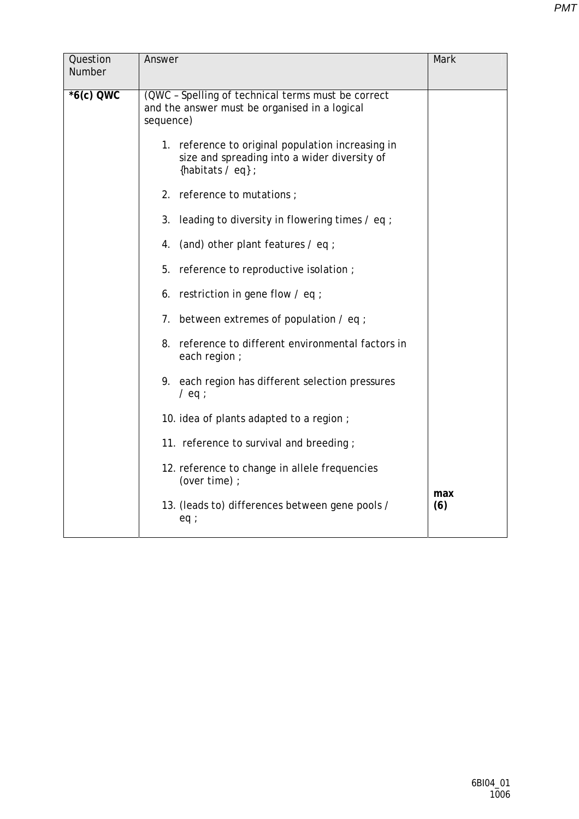| Question<br>Number | Answer                                                                                                                   | Mark       |
|--------------------|--------------------------------------------------------------------------------------------------------------------------|------------|
| $*6(c)$ QWC        | (QWC - Spelling of technical terms must be correct<br>and the answer must be organised in a logical<br>sequence)         |            |
|                    | 1. reference to original population increasing in<br>size and spreading into a wider diversity of<br>{habitats $/$ eq} ; |            |
|                    | 2. reference to mutations;                                                                                               |            |
|                    | 3. leading to diversity in flowering times / eq ;                                                                        |            |
|                    | 4. (and) other plant features / eq;                                                                                      |            |
|                    | 5. reference to reproductive isolation;                                                                                  |            |
|                    | 6. restriction in gene flow / eq ;                                                                                       |            |
|                    | 7. between extremes of population $\ell$ eq ;                                                                            |            |
|                    | 8. reference to different environmental factors in<br>each region ;                                                      |            |
|                    | 9. each region has different selection pressures<br>$/$ eq ;                                                             |            |
|                    | 10. idea of plants adapted to a region;                                                                                  |            |
|                    | 11. reference to survival and breeding;                                                                                  |            |
|                    | 12. reference to change in allele frequencies<br>(over time) ;                                                           |            |
|                    | 13. (leads to) differences between gene pools /<br>eq:                                                                   | max<br>(6) |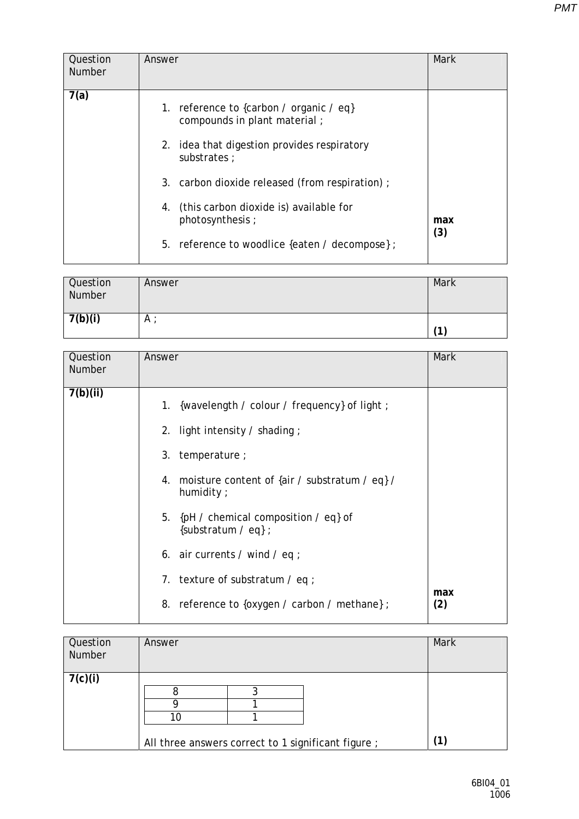| Question<br><b>Number</b> | Answer                                                                                                                                 | Mark       |
|---------------------------|----------------------------------------------------------------------------------------------------------------------------------------|------------|
| 7(a)                      | 1. reference to {carbon / organic / eq}<br>compounds in plant material;<br>2. idea that digestion provides respiratory<br>substrates : |            |
|                           | 3. carbon dioxide released (from respiration);                                                                                         |            |
|                           | 4. (this carbon dioxide is) available for<br>photosynthesis;                                                                           | max<br>(3) |
|                           | 5. reference to woodlice {eaten / decompose};                                                                                          |            |

| Question<br>Number | Answer       | Mark |
|--------------------|--------------|------|
| 7(b)(i)            | $^{\circ}$ A |      |

| Question<br>Number | Answer                                                                                                                                                                                                                                                                                                                               | <b>Mark</b> |
|--------------------|--------------------------------------------------------------------------------------------------------------------------------------------------------------------------------------------------------------------------------------------------------------------------------------------------------------------------------------|-------------|
| 7(b)(ii)           | 1. {wavelength / colour / frequency} of light ;<br>2. light intensity $\prime$ shading;<br>temperature;<br>3.<br>4. moisture content of {air / substratum / eq} /<br>humidity $\cdot$<br>5. {pH / chemical composition / eq} of<br>{substratum $\ell$ eq} ;<br>6. air currents / wind / eq ;<br>7. texture of substratum $\ell$ eq ; |             |
|                    | 8. reference to {oxygen / carbon / methane} ;                                                                                                                                                                                                                                                                                        | max<br>(2)  |

| Question<br>Number | Answer                                                    | Mark |
|--------------------|-----------------------------------------------------------|------|
| 7(c)(i)            | 10<br>All three answers correct to 1 significant figure ; |      |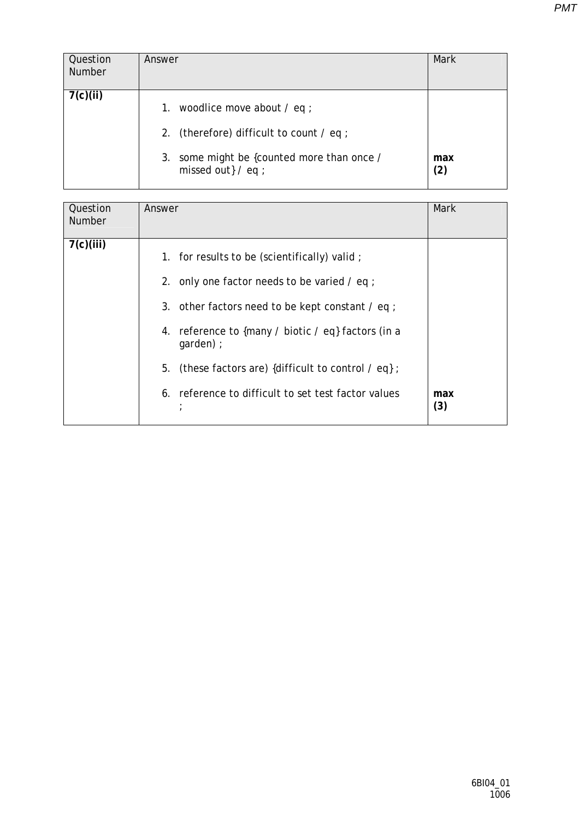| Question<br><b>Number</b> | Answer                                                               | Mark       |
|---------------------------|----------------------------------------------------------------------|------------|
| 7(c)(ii)                  | 1. woodlice move about $\ell$ eq ;                                   |            |
|                           | 2. (therefore) difficult to count $\ell$ eq ;                        |            |
|                           | 3. some might be {counted more than once /<br>missed out $\}$ / eq ; | max<br>(2) |

| Question<br><b>Number</b> | Answer                                                                                                                                                                                                                                                                                                                                        | Mark       |
|---------------------------|-----------------------------------------------------------------------------------------------------------------------------------------------------------------------------------------------------------------------------------------------------------------------------------------------------------------------------------------------|------------|
| 7(c)(iii)                 | 1. for results to be (scientifically) valid;<br>2. only one factor needs to be varied $\ell$ eq ;<br>3. other factors need to be kept constant / eq ;<br>4. reference to {many / biotic / eq} factors (in a<br>$qarden$ ) ;<br>(these factors are) {difficult to control / eq} ;<br>5.<br>6. reference to difficult to set test factor values | max<br>(3) |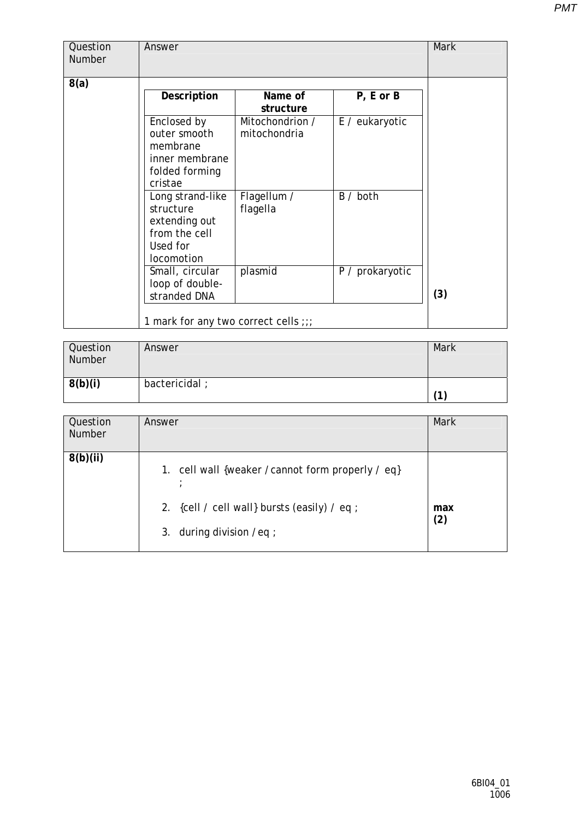| Question<br>Number | Answer                                                                                    |                                 |                 | <b>Mark</b> |
|--------------------|-------------------------------------------------------------------------------------------|---------------------------------|-----------------|-------------|
| 8(a)               |                                                                                           |                                 |                 |             |
|                    | Description                                                                               | Name of<br>structure            | $P, E$ or $B$   |             |
|                    | Enclosed by<br>outer smooth<br>membrane<br>inner membrane<br>folded forming<br>cristae    | Mitochondrion /<br>mitochondria | E / eukaryotic  |             |
|                    | Long strand-like<br>structure<br>extending out<br>from the cell<br>Used for<br>locomotion | Flagellum /<br>flagella         | B / both        |             |
|                    | Small, circular<br>loop of double-<br>stranded DNA                                        | plasmid                         | P / prokaryotic | (3)         |
|                    | 1 mark for any two correct cells ;;;                                                      |                                 |                 |             |

| Question<br>Number | Answer        | <b>Mark</b> |
|--------------------|---------------|-------------|
| 8(b)(i)            | bactericidal; | 4           |

| Question<br><b>Number</b> | Answer                                                                                                                         | Mark       |
|---------------------------|--------------------------------------------------------------------------------------------------------------------------------|------------|
| 8(b)(ii)                  | 1. cell wall {weaker / cannot form properly / eq}<br>2. {cell / cell wall} bursts (easily) / eq ;<br>3. during division / eq ; | max<br>(2) |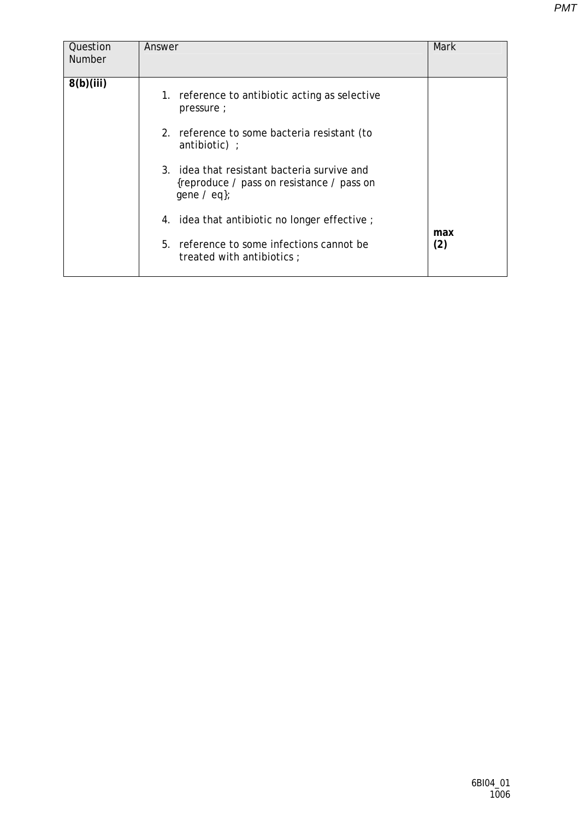| Question      | Answer                                                                                                       | Mark |
|---------------|--------------------------------------------------------------------------------------------------------------|------|
| <b>Number</b> |                                                                                                              |      |
|               |                                                                                                              |      |
| 8(b)(iii)     |                                                                                                              |      |
|               | 1. reference to antibiotic acting as selective<br>pressure;                                                  |      |
|               | 2. reference to some bacteria resistant (to<br>antibiotic) $\cdot$                                           |      |
|               | 3. idea that resistant bacteria survive and<br>{reproduce / pass on resistance / pass on<br>gene $\ell$ eq}; |      |
|               | 4. idea that antibiotic no longer effective;                                                                 | max  |
|               | 5. reference to some infections cannot be<br>treated with antibiotics ;                                      | (2)  |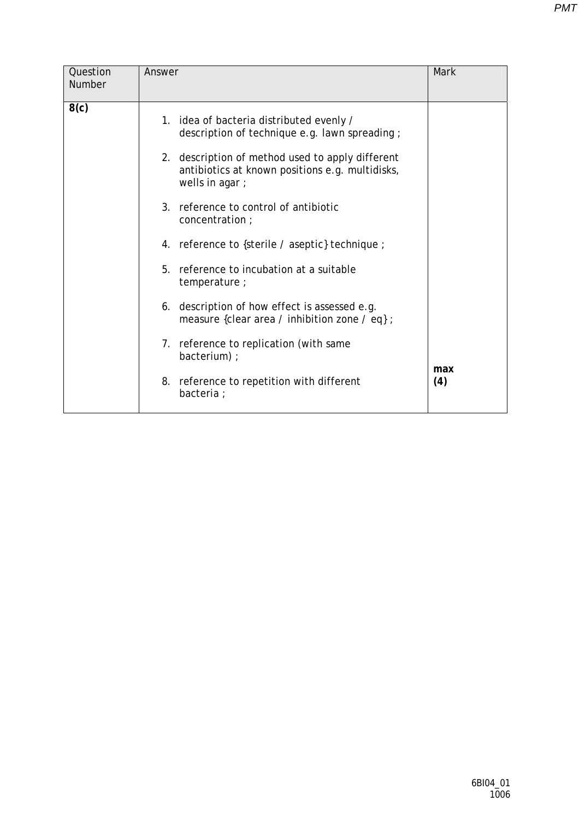| Question      | Answer                                                                                                                                                                                                                                                                                                                                                                                                                                                                                                                                                                                                              | <b>Mark</b> |
|---------------|---------------------------------------------------------------------------------------------------------------------------------------------------------------------------------------------------------------------------------------------------------------------------------------------------------------------------------------------------------------------------------------------------------------------------------------------------------------------------------------------------------------------------------------------------------------------------------------------------------------------|-------------|
| <b>Number</b> |                                                                                                                                                                                                                                                                                                                                                                                                                                                                                                                                                                                                                     |             |
| 8(c)          | 1. idea of bacteria distributed evenly /<br>description of technique e.g. lawn spreading;<br>2. description of method used to apply different<br>antibiotics at known positions e.g. multidisks,<br>wells in agar;<br>3. reference to control of antibiotic<br>concentration;<br>4. reference to {sterile / aseptic} technique ;<br>5. reference to incubation at a suitable<br>temperature;<br>6. description of how effect is assessed e.g.<br>measure {clear area / inhibition zone / eq} ;<br>7. reference to replication (with same<br>bacterium) ;<br>8. reference to repetition with different<br>bacteria ; | max<br>(4)  |
|               |                                                                                                                                                                                                                                                                                                                                                                                                                                                                                                                                                                                                                     |             |